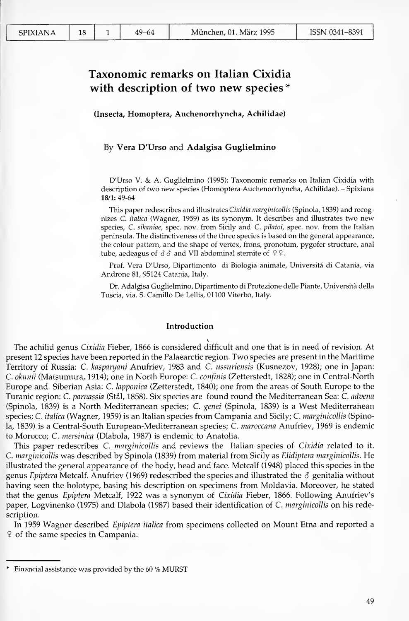$\mathbf{1}$  $49 - 64$ 

18

# Taxonomic remarks on Italian Cixidia with description of two new species\*

(Insecta, Homoptera, Auchenorrhyncha, Achilidae)

# By Vera D'Urso and Adalgisa Guglielmino

D'Urso V. & A. Guglielmino (1995): Taxonomic remarks on Italian Cixidia with description of two new species (Homoptera Auchenorrhyncha, Achilidae). - Spixiana 18/1: 49-64

This paper redescribes and illustrates Cixidia marginicollis (Spinola, 1839) and recognizes C. italica (Wagner, 1959) as its synonym. It describes and illustrates two new species, C. sikaniae, spec. nov. from Sicily and C. pilatoi, spec. nov. from the Italian peninsula. The distinctiveness of the three species is based on the general appearance, the colour pattern, and the shape of vertex, frons, pronotum, pygofer structure, anal tube, aedeagus of  $\delta \delta$  and VII abdominal sternite of  $99$ .

Prof. Vera D'Urso, Dipartimento di Biologia animale, Universitá di Catania, via Androne 81, 95124 Catania, Italy.

Dr. Adalgisa Guglielmino, Dipartimento di Protezione delle Piante, Università della Tuscia, via. S. Camillo De Lellis, 01100 Viterbo, Italy.

#### Introduction

The achilid genus Cixidia Fieber, 1866 is considered difficult and one that is in need of revision. At present 12 species have been reported in the Palaearctic region. Two species are present in the Maritime Territory of Russia: C. kasparyani Anufriev, 1983 and C. ussuriensis (Kusnezov, 1928); one in Japan: C. okunii (Matsumura, 1914); one in North Europe: C. confinis (Zetterstedt, 1828); one in Central-North Europe and Siberian Asia: C. lapponica (Zetterstedt, 1840); one from the areas of South Europe to the Turanic region: C. parnassia (Stål, 1858). Six species are found round the Mediterranean Sea: C. advena (Spinola, 1839) is a North Mediterranean species; C. genei (Spinola, 1839) is a West Mediterranean species; C. *italica* (Wagner, 1959) is an Italian species from Campania and Sicily; C. *marginicollis* (Spinola, 1839) is a Central-South European-Mediterranean species; C. maroccana Anufriev, 1969 is endemic to Morocco; C. mersinica (Dlabola, 1987) is endemic to Anatolia.

This paper redescribes C. *marginicollis* and reviews the Italian species of Cixidia related to it. C. marginicollis was described by Spinola (1839) from material from Sicily as Elidiptera marginicollis. He illustrated the general appearance of the body, head and face. Metcalf (1948) placed this species in the genus Epiptera Metcalf. Anufriev (1969) redescribed the species and illustrated the  $\delta$  genitalia without having seen the holotype, basing his description on specimens from Moldavia. Moreover, he stated that the genus *Epiptera* Metcalf, 1922 was a synonym of Cixidia Fieber, 1866. Following Anufriev's paper, Logvinenko (1975) and Dlabola (1987) based their identification of C. *marginicollis* on his redescription.

In 1959 Wagner described Epiptera italica from specimens collected on Mount Etna and reported a <sup>2</sup> of the same species in Campania.

<sup>\*</sup> Financial assistance was provided by the 60 % MURST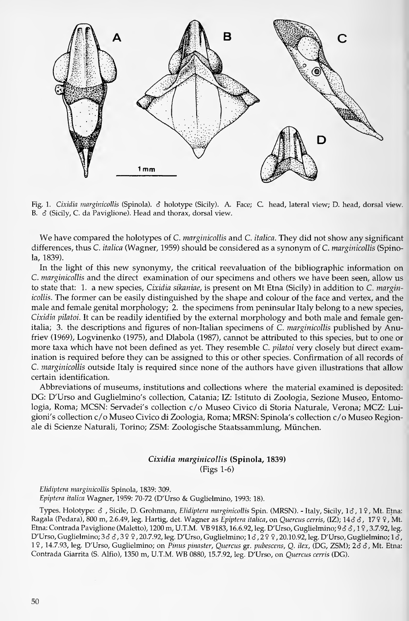

Fig. 1. Cixidia marginicollis (Spinola).  $\delta$  holotype (Sicily). A. Face; C. head, lateral view; D. head, dorsal view. B.  $\delta$  (Sicily, C. da Paviglione). Head and thorax, dorsal view.

We have compared the holotypes of C. *marginicollis* and C. *italica*. They did not show any significant differences, thus C. *italica* (Wagner, 1959) should be considered as a synonym of C. *marginicollis* (Spinola, 1839).

In the light of this new synonymy, the critical reevaluation of the bibliographic information on C. marginicollis and the direct examination of our specimens and others we have been seen, allow us to state that: 1. a new species, Cixidia sikaniae, is present on Mt Etna (Sicily) in addition to C. marginicollis. The former can be easily distinguished by the shape and colour of the face and vertex, and the male and female genital morphology; 2. the specimens from peninsular Italy belong to a new species, Cixidia pilatoi. It can be readily identified by the external morphology and both male and female genitalia; 3. the descriptions and figures of non-Italian specimens of C. *marginicollis* published by Anufriev (1969), Logvinenko (1975), and Dlabola (1987), cannot be attributed to this species, but to one or more taxa which have not been defined as yet. They resemble C. pilatoi very closely but direct examination is required before they can be assigned to this or other species. Confirmation of all records of C. marginicollis outside Italy is required since none of the authors have given illustrations that allow certain identification.

Abbreviations of museums, institutions and collections where the material examined is deposited: DG: D'Urso and Guglielmino's collection, Catania; IZ: Istituto di Zoologia, Sezione Museo, Entomologia, Roma; MCSN: Servadei's collection c/o Museo Civico di Storia Naturale, Verona; MCZ: Luigioni's collection c/o Museo Civico di Zoologia, Roma; MRSN: Spinola's collection c/o Museo Regionale di Scienze Naturali, Torino; ZSM: Zoologische Staatssammlung, München.

# Cixidia marginicollis (Spinola, 1839) (Figs 1-6)

Elidiptera marginicollis Spinola, 1839: 309. Epiptera italica Wagner, 1959: 70-72 (D'Urso & Guglielmino, 1993: 18).

Types. Holotype:  $\delta$  , Sicile, D. Grohmann, Elidiptera marginicollis Spin. (MRSN). - Italy, Sicily, 16, 19, Mt. Etna: Ragala (Pedara), 800 m, 2.6.49, leg. Hartig, det. Wagner as *Epiptera italica,* on *Quercus cerris,* (IZ); 14*3 3* , 17 9 9 , Mt. Etna: Contrada Paviglione (Maletto), 1200 m, U.T.M. VB 9183, 16.6.92, leg. D'Urso, Guglielmino; <sup>9</sup> d d, <sup>1</sup><sup>9</sup> , 3.7.92, leg. D'Urso, Guglielmino; 3 o o , 3 9 9, 20.7.92, leg. D'Urso, Guglielmino; 1 o , 2 9 9, 20.10.92, leg. D'Urso, Guglielmino; 1 o , 19, 14.7.93, leg. D'Urso, Guglielmino; on Pinus pinaster, Quercus gr. pubescens, Q. Hex, (DG, ZSM); 26 3, Mt. Etna: Contrada Giarrita (S. Alfio), 1350 m, U.T.M. WB 0880, 15.7.92, leg. D'Urso, on Quercus cerris (DG).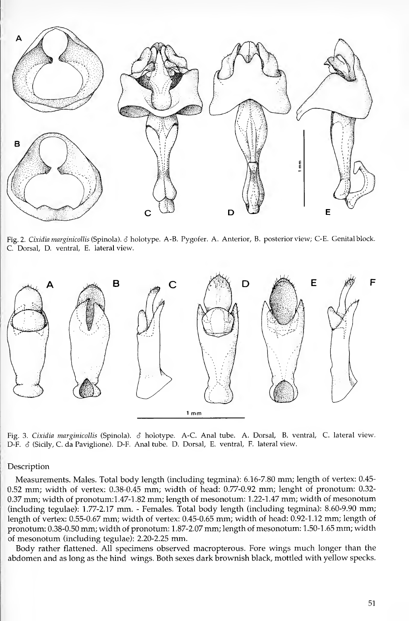

Fig. 2. Cixidia marginicollis (Spinola). S holotype. A-B. Pygofer. A. Anterior, B. posterior view; C-E. Genital block. C. Dorsal, D. ventral, E. lateral view.



Fig. 3. *Cixidia marginicollis* (Spinola). 6 holotype. A-C. Anal tube. A. Dorsal, B. ventral, C. lateral view. D-F.  $\delta$  (Sicily, C. da Paviglione). D-F. Anal tube. D. Dorsal, E. ventral, F. lateral view.

## Description

Measurements. Males. Total body length (including tegmina): 6.16-7.80 mm; length of vertex: 0.45- 0.52 mm; width of vertex: 0.38-0.45 mm; width of head: 0.77-0.92 mm; lenght of pronotum: 0.32- 0.37 mm; width of pronotum: 1.47-1.82 mm; length of mesonotum: 1.22-1.47 mm; width of mesonotum (including tegulae): 1.77-2.17 mm. - Females. Total body length (including tegmina): 8.60-9.90 mm; length of vertex: 0.55-0.67 mm; width of vertex: 0.45-0.65 mm; width of head: 0.92-1.12 mm; length of pronotum: 0.38-0.50 mm; width of pronotum: <sup>1</sup> .87-2.07 mm; length of mesonotum: <sup>1</sup> .50-1 .65 mm; width of mesonotum (including tegulae): 2.20-2.25 mm.

Body rather flattened. All specimens observed macropterous. Fore wings much longer than the abdomen and as long as the hind wings. Both sexes dark brownish black, mottled with yellow specks.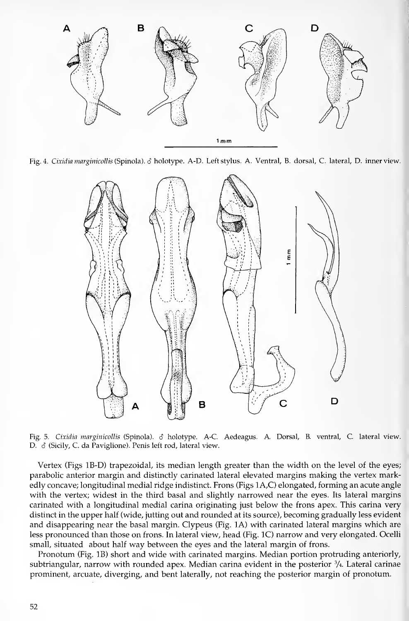

Fig. 4. Cixidia marginicollis (Spinola). 3 holotype. A-D. Left stylus. A. Ventral, B. dorsal, C. lateral, D. inner view.



Fig. 5. Cixidia marginicollis (Spinola). *8* holotype. A-C. Aedeagus. A. Dorsal, B. ventral, C. lateral view.<br>D. *8* (Sicily, C. da Paviglione). Penis left rod, lateral view.

Vertex (Figs IB-D) trapezoidal, its median length greater than the width on the level of the eyes; parabolic anterior margin and distinctly carinated lateral elevated margins making the Vertex markedly concave; longitudinal medial ridge indistinct. Frons (Figs <sup>1</sup> A,C) elongated, forming an acute angle with the vertex; widest in the third basal and slightly narrowed near the eyes. Its lateral margins carinated with a longitudinal medial carina originating just below the frons apex. This carina very distinct in the upper half (wide, jutting out and rounded at its source), becoming gradually less evident and disappearing near the basal margin. Clypeus (Fig. 1A) with carinated lateral margins which are less pronounced than those on frons. In lateral view, head (Fig. IC) narrow and very elongated. Ocelli small, situated about half way between the eyes and the lateral margin of frons.

Pronotum (Fig. IB) short and wide with carinated margins. Median portion protruding anteriorly, subtriangular, narrow with rounded apex. Median carina evident in the posterior  $\frac{3}{4}$ . Lateral carinae prominent, arcuate, diverging, and bent laterally, not reaching the posterior margin of pronotum.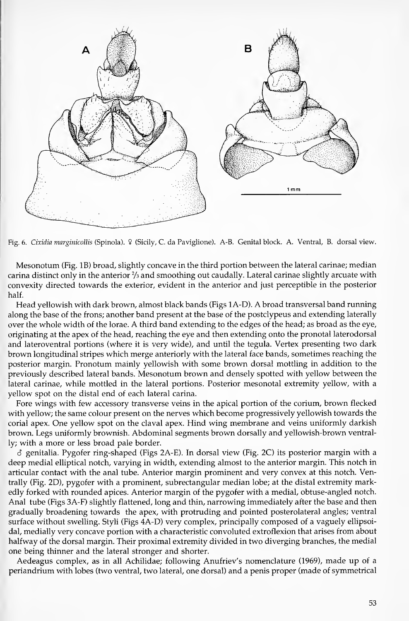

Fig. 6. Cixidia margmicollis (Spinola). 9 (Sicily, C. da Paviglione). A-B. Genital block. A. Ventral, B. dorsal view.

Mesonotum (Fig. IB) broad, slightly concave in the third portion between the lateral carinae; median carina distinct only in the anterior  $\frac{2}{3}$  and smoothing out caudally. Lateral carinae slightly arcuate with convexity directed towards the exterior, evident in the anterior and just perceptible in the posterior half.

Head yellowish with dark brown, almost black bands (Figs <sup>1</sup>A-D). A broad transversal band running along the base of the frons; another band present at the base of the postclypeus and extending laterally over the whole width of the lorae. A third band extending to the edges of the head; as broad as the eye, originating at the apex of the head, reaching the eye and then extending onto the pronotal laterodorsal and lateroventral portions (where it is very wide), and until the tegula. Vertex presenting two dark brown longitudinal stripes which merge anteriorly with the lateral face bands, sometimes reaching the posterior margin. Pronotum mainly yellowish with some brown dorsal mottling in addition to the previously described lateral bands. Mesonotum brown and densely spotted with yellow between the lateral carinae, while mottled in the lateral portions. Posterior mesonotal extremity yellow, with a yellow spot on the distal end of each lateral carina.

Fore wings with few accessory transverse veins in the apical portion of the corium, brown flecked with yellow; the same colour present on the nerves which become progressively yellowish towards the corial apex. One yellow spot on the claval apex. Hind wing membrane and veins uniformly darkish brown. Legs uniformly brownish. Abdominal segments brown dorsally and yellowish-brown ventrally; with a more or less broad pale border.

6 genitalia. Pygofer ring-shaped (Figs 2A-E). In dorsal view (Fig. 2C) its posterior margin with a deep medial elliptical notch, varying in width, extending almost to the anterior margin. This notch in articular contact with the anal tube. Anterior margin prominent and very convex at this notch. Ventrally (Fig. 2D), pygofer with a prominent, subrectangular median lobe; at the distal extremity markedly forked with rounded apices. Anterior margin of the pygofer with a medial, obtuse-angled notch. Anal tube (Figs 3A-F) slightly flattened, long and thin, narrowing immediately after the base and then gradually broadening towards the apex, with protruding and pointed posterolateral angles; ventral surface without swelling. Styli (Figs 4A-D) very complex, principally composed of a vaguely ellipsoi dal, medially very concave portion with a characteristic convoluted extroflexion that arises from about halfway of the dorsal margin. Their proximal extremity divided in two diverging branches, the medial one being thinner and the lateral stronger and shorter.

Aedeagus complex, as in all Achilidae; following Anufriev's nomenclature (1969), made up of a periandrium with lobes (two ventral, two lateral, one dorsal) and a penis proper (made of symmetrical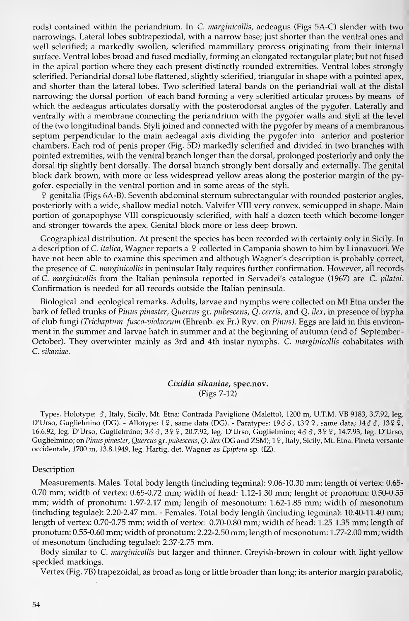rods) contained within the periandrium. In C. marginicollis, aedeagus (Figs 5A-C) slender with two narrowings. Lateral lobes subtrapeziodal, with a narrow base; just shorter than the ventral ones and well sclerified; a markedly swollen, sclerified mammillary process originating from their internal surface. Ventral lobes broad and fused medially, forming an elongated rectangular plate; but not fused in the apical portion where they each present distinctly rounded extremities. Ventral lobes strongly sclerified. Periandrial dorsal lobe flattened, slightly sclerified, triangular in shape with a pointed apex, and shorter than the lateral lobes. Two sclerified lateral bands on the periandrial wall at the distal narrowing; the dorsal portion of each band forming a very sclerified articular process by means of which the aedeagus articulates dorsally with the posterodorsal angles of the pygofer. Laterally and ventrally with a membrane connecting the periandrium with the pygofer walls and styli at the level of the two longitudinal bands. Styli joined and connected with the pygofer by means of a membranous septum perpendicular to the main aedeagal axis dividing the pygofer into anterior and posterior Chambers. Each rod of penis proper (Fig. 5D) markedly sclerified and divided in two branches with pointed extremities, with the ventral branch longer than the dorsal, prolonged posteriorly and only the dorsal tip slightly bent dorsally. The dorsal branch strongly bent dorsally and externally. The genital block dark brown, with more or less widespread yellow areas along the posterior margin of the pygofer, especially in the ventral portion and in some areas of the styli.

9 genitalia (Figs 6A-B). Seventh abdominal sternum subrectangular with rounded posterior angles, posteriorly with a wide, shallow medial notch. Valvifer VIII very convex, semicupped in shape. Main portion of gonapophyse VIII conspicuously sclerified, with half a dozen teeth which become longer and stronger towards the apex. Genital block more or less deep brown.

Geographica! distribution. At present the species has been recorded with certainty only in Sicily. In a description of C. *italica*, Wagner reports a  $9$  collected in Campania shown to him by Linnavuori. We have not been able to examine this specimen and although Wagner'<sup>s</sup> description is probably correct, the presence of C. *marginicollis* in peninsular Italy requires further confirmation. However, all records of C. marginicollis from the Italian peninsula reported in Servadei's catalogue (1967) are C. pilatoi. Confirmation is needed for all records outside the Italian peninsula.

Biological and ecological remarks. Adults, larvae and nymphs were collected on Mt Etna under the bark of felled trunks of Pinus pinaster, Quercus gr. pubescens, Q. cerris, and Q. ilex, in presence of hypha of club fungi (Trichaptum fusco-violaceum (Ehrenb. ex Fr.) Ryv. on Pinus). Eggs are laid in this environment in the summer and larvae hatch in summer and at the beginning of autumn (end of September - October). They overwinter mainly as 3rd and 4th instar nymphs. C. marginicollis cohabitates with C. sikaniae.

# Cixidia sikaniae, spec.nov. (Figs 7-12)

Types. Holotype: 6, Italy, Sicily, Mt. Etna: Contrada Paviglione (Maletto), 1200 m, U.T.M. VB 9183, 3.7.92, leg. D'Urso, Guglielmino (DG). - Allotype: 19, same data (DG). - Paratypes: 19♂♂, 13♀♀, same data; 14♂♂, 13♀♀, 16.6.92, leg. D'Urso, Guglielmino; 33 6, 39 9, 20.7.92, leg. D'Urso, Guglielmino; 46 6, 39 9, 14.7.93, leg. D'Urso, Guglielmino; on Pinus pinaster, Quercus gr. pubescens, Q. ilex (DG and ZSM); 19, Italy, Sicily, Mt. Etna: Pineta versante occidentale, 1700 m, 13.8.1949, leg. Hartig, det. Wagner as Epiptera sp. (IZ).

## Description

Measurements. Males. Total body length (including tegmina): 9.06-10.30 mm; length of vertex: 0.65- 0.70 mm; width of vertex: 0.65-0.72 mm; width of head: 1.12-1.30 mm; lenght of pronotum: 0.50-0.55 mm; width of pronotum: 1.97-2.17 mm; length of mesonotum: 1.62-1.85 mm; width of mesonotum (including tegulae): 2.20-2.47 mm. - Females. Total body length (including tegmina): 10.40-11.40 mm; length of Vertex: 0.70-0.75 mm; width of vertex: 0.70-0.80 mm; width of head: 1.25-1.35 mm; length of pronotum: 0.55-0.60 mm; width of pronotum: 2.22-2.50 mm; length of mesonotum: 1.77-2.00 mm; width of mesonotum (including tegulae): 2.37-2.75 mm.

Body similar to C. marginicollis but larger and thinner. Greyish-brown in colour with light yellow speckied markings.

Vertex (Fig. 7B) trapezoidal, as broad as long or little broader than long; its anterior margin parabolic.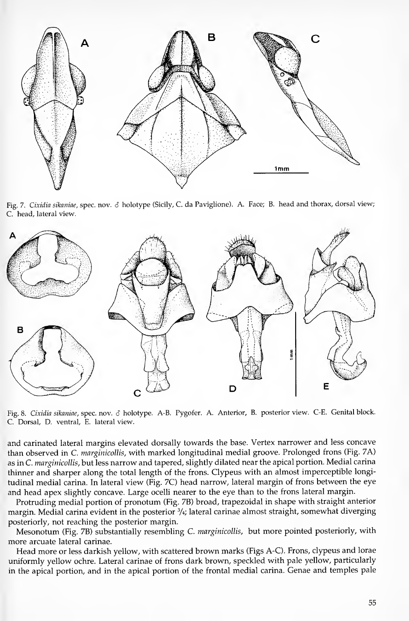

Fig. 7. Cixidia sikaniae, spec. nov.  $\delta$  holotype (Sicily, C. da Paviglione). A. Face; B. head and thorax, dorsal view; C. head, lateral view.



Fig. 8. Cixidia sikaniae, spec. nov. & holotype. A-B. Pygofer. A. Anterior, B. posterior view. C-E. Genital block. C. Dorsal, D. ventral, E. lateral view.

and carinated lateral margins elevated dorsally towards the base. Vertex narrower and less concave than observed in C. marginicollis, with marked longitudinal medial groove. Prolonged frons (Fig. 7A) as in C. marginicollis, but less narrow and tapered, slightly dilated near the apical portion. Medial carina thinner and sharper along the total length of the frons. Clypeus with an almost imperceptible longi tudinal medial carina. In lateral view (Fig. 7C) head narrow, lateral margin of frons between the eye and head apex slightly concave. Large ocelli nearer to the eye than to the frons lateral margin.

Protruding medial portion of pronotum (Fig. 7B) broad, trapezoidal in shape with straight anterior margin. Medial carina evident in the posterior  $\frac{3}{4}$ ; lateral carinae almost straight, somewhat diverging posteriorly, not reaching the posterior margin.

Mesonotum (Fig. 7B) substantially resembling C. marginicollis, but more pointed posteriorly, with more arcuate lateral carinae.

Head more or less darkish yellow, with scattered brown marks (Figs A-C). Frons, clypeus and lorae uniformly yellow ochre. Lateral carinae of frons dark brown, speckled with pale yellow, particularly in the apical portion, and in the apical portion of the frontal medial carina. Genae and temples pale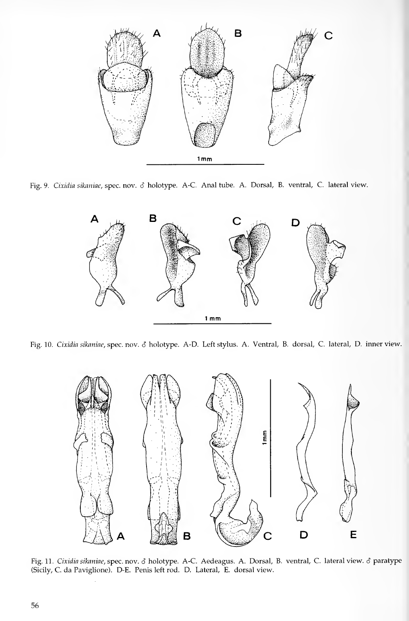

Fig. 9. Cixidia sikaniae, spec. nov. & holotype. A-C. Anal tube. A. Dorsal, B. ventral, C. lateral view.



Fig. 10. Cixidia sikaniae, spec. nov. & holotype. A-D. Left stylus. A. Ventral, B. dorsal, C. lateral, D. inner view.



Fig. 11. Cixidia sikaniae, spec. nov. S holotype. A-C. Aedeagus. A. Dorsal, B. ventral, C. lateral view. 6 paratype (Sicily, C. da Paviglione). D-E. Penis left rod. D. Lateral, E. dorsal view.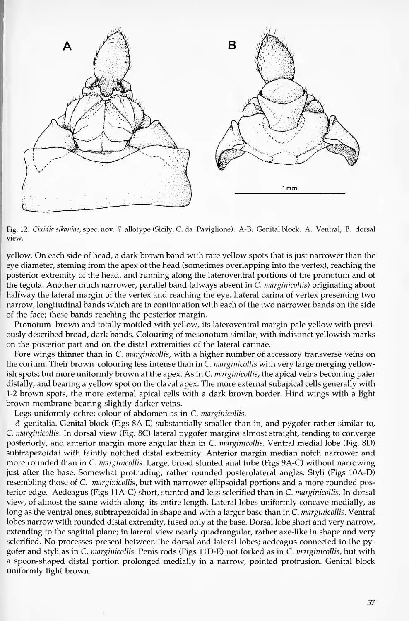

Fig. 12. Cixidia sikaniae, spec. nov. ? allotype (Sicily, C. da Paviglione). A-B. Genital block. A. Ventral, B. dorsal View.

yellow. On each side of head, <sup>a</sup> dark brown band with rare yellow spots that is just narrower than the eye diameter, steming from the apex of the head (sometimes overlapping into the vertex), reaching the posterior extremity of the head, and running along the lateroventral portions of the pronotum and of the tegula. Another much narrower, parallel band (always absent in C. *marginicollis*) originating about halfway the lateral margin of the vertex and reaching the eye. Lateral carina of vertex presenting two narrow, longitudinal bands which are in continuation with each of the two narrower bands on the side of the face; these bands reaching the posterior margin.

Pronotum brown and totally mottled with yellow, its lateroventral margin pale yellow with previously described broad, dark bands. Colouring of mesonotum similar, with indistinct yellowish marks on the posterior part and on the distal extremities of the lateral carinae.

Fore wings thinner than in C. *marginicollis*, with a higher number of accessory transverse veins on the corium. Their brown colouring less intense than in C. marginicollis with very large merging yellowish spots; but more uniformly brown at the apex. As in C. *marginicollis*, the apical veins becoming paler distally, and bearing a yellow spot on the claval apex. The more external subapical cells generally with 1-2 brown spots, the more external apical cells with a dark brown border. Hind wings with a light brown membrane bearing slightly darker veins.

Legs uniformly ochre; colour of abdomen as in C. marginicollis.

 $\delta$  genitalia. Genital block (Figs 8A-E) substantially smaller than in, and pygofer rather similar to, C. marginicollis. In dorsal view (Fig. 8C) lateral pygofer margins almost straight, tending to converge posteriorly, and anterior margin more angular than in C. marginicollis. Ventral medial lobe (Fig. 8D) subtrapezoidal with faintly notched distal extremity. Anterior margin median notch narrower and more rounded than in C. marginicollis. Large, broad stunted anal tube (Figs 9A-C) without narrowing just after the base. Somewhat protruding, rather rounded posterolateral angles. Styli (Figs lOA-D) resembling those of C. *marginicollis*, but with narrower ellipsoidal portions and a more rounded posterior edge. Aedeagus (Figs IIA-C) short, stunted and less sclerified than in C. marginicollis. In dorsal view, of almost the same width along its entire length. Lateral lobes uniformly concave medially, as long as the ventral ones, subtrapezoidal in shape and with a larger base than in C. marginicollis. Ventral lobes narrow with rounded distal extremity, fused only at the base. Dorsal lobe short and very narrow, extending to the sagittal plane; in lateral view nearly quadrangular, rather axe-like in shape and very sclerified. No processes present between the dorsal and lateral lobes; aedeagus connected to the pygofer and styli as in C. marginicollis. Penis rods (Figs IID-E) not forked as in C. marginicollis, but with a spoon-shaped distal portion prolonged medially in a narrow, pointed protrusion. Genital block uniformly light brown.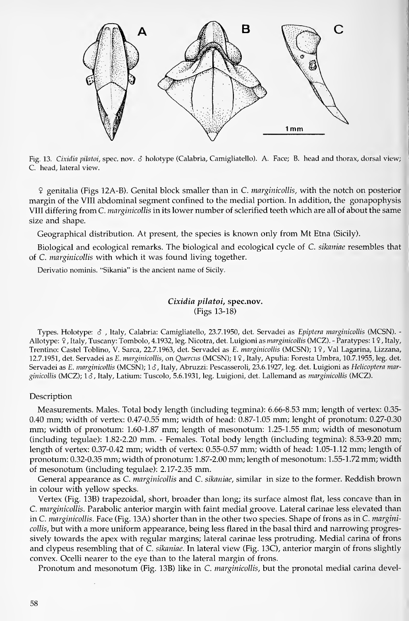

Fig. 13. Cixidia pilatoi, spec. nov. S holotype (Calabria, Camigliatello). A. Face; B. head and thorax, dorsal view; C. head, lateral view.

9 genitalia (Figs 12A-B). Genital block smaller than in C. marginicollis, with the notch on posterior margin of the VIII abdominal segment confined to the medial portion. In addition, the gonapophysis VIII differing from C. marginicollis in its lower number of sclerified teeth which are all of about the same size and shape.

Geographical distribution. At present, the species is known only from Mt Etna (Sicily).

Biological and ecological remarks. The biological and ecological cycle of C. sikaniae resembles that of C. marginicollis with which it was found living together.

Derivatio nominis. "Sikania" is the ancient name of Sicily.

## Cixidia pilatoi, spec.nov. (Figs 13-18)

Types. Holotype:  $\delta$ , Italy, Calabria: Camigliatello, 23.7.1950, det. Servadei as Epiptera marginicollis (MCSN). -Allotype: ?, Italy, Tuscany: Tombolo, 4.1932, leg. Nicotra, det. Luigioni as marginicollis (MCZ). - Paratypes: 1?, Italy, Trentino: Castel Toblino, V. Sarca, 22.7.1963, det. Servadei as E. marginicollis (MCSN); 19, Val Lagarina, Lizzana, 12.7.1951, det. Servadei as E. marginicollis, on Quercus (MCSN); 19, Italy, Apulia: Foresta Umbra, 10.7.1955, leg. det. Servadei as E. marginicollis (MCSN); 16, Italy, Abruzzi: Pescasseroli, 23.6.1927, leg. det. Luigioni as Helicoptera marginicollis (MCZ); 1&, Italy, Latium: Tuscolo, 5.6.1931, leg. Luigioni, det. Lallemand as marginicollis (MCZ).

#### Description

Measurements. Males. Total body length (including tegmina): 6.66-8.53 mm; length of vertex: 0.35- 0.40 mm; width of vertex: 0.47-0.55 mm; width of head: 0.87-1.05 mm; lenght of pronotum: 0.27-0.30 mm; width of pronotum: 1.60-1.87 mm; length of mesonotum: 1.25-1.55 mm; width of mesonotum (including tegulae): 1.82-2.20 mm. - Females. Total body length (including tegmina): 8.53-9.20 mm; length of Vertex: 0.37-0.42 mm; width of vertex: 0.55-0.57 mm; width of head: 1.05-1.12 mm; length of pronotum: 0.32-0.35 mm; width of pronotum: <sup>1</sup> .87-2.00 mm; length of mesonotum: <sup>1</sup> .55-1 .72 mm; width of mesonotum (including tegulae): 2.17-2.35 mm.

General appearance as C. *marginicollis* and C. *sikaniae*, similar in size to the former. Reddish brown in colour with yellow specks.

Vertex (Fig. 13B) trapezoidal, short, broader than long; its surface almost flat, less concave than in C. marginicollis. Parabolic anterior margin with faint medial groove. Lateral carinae less elevated than in C. marginicollis. Face (Fig. 13A) shorter than in the other two species. Shape of frons as in C. marginicollis, but with a more uniform appearance, being less flared in the basal third and narrowing progressively towards the apex with regulär margins; lateral carinae less protruding. Medial carina of frons and clypeus resembling that of  $\bar{C}$ . sikaniae. In lateral view (Fig. 13C), anterior margin of frons slightly convex. Ocelli nearer to the eye than to the lateral margin of frons.

Pronotum and mesonotum (Fig. 13B) like in C. *marginicollis*, but the pronotal medial carina devel-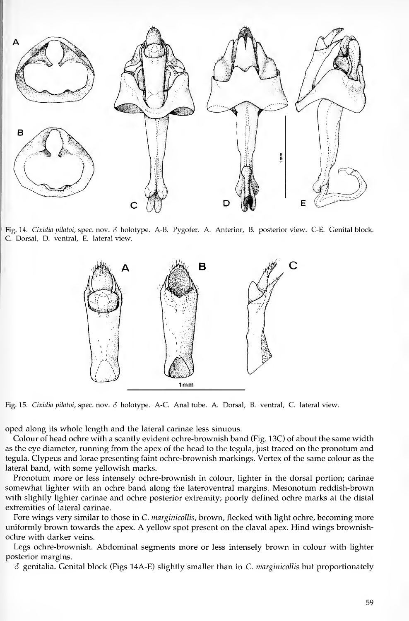

Fig. 14. Cixidia pilatoi, spec. nov. & holotype. A-B. Pygofer. A. Anterior, B. posterior view. C-E. Genital block. C. Dorsal, D. ventral, E. lateral view.



Fig. 15. Cixidia pilatoi, spec. nov. 6 holotype. A-C. Anal tube. A. Dorsal, B. ventral, C. lateral view.

oped along its w^hole length and the lateral carinae less sinuous.

Colour of head ochre with a scantly evident ochre-brownish band (Fig. 13C) of about the same width as the eye diameter, running from the apex of the head to the tegula, just traced on the pronotum and tegula. Clypeus and lorae presenting faint ochre-brownish markings. Vertex of the sänne colour as the lateral band, with some yellowish marks.

Pronotum more or less intensely ochre-brownish in colour, lighter in the dorsal portion; carinae somewhat lighter with an ochre band along the lateroventral margins. Mesonotum reddish-brown with slightly lighter carinae and ochre posterior extremity; poorly defined ochre marks at the distal extremities of lateral carinae.

Fore wings very similar to those in C. *marginicollis*, brown, flecked with light ochre, becoming more uniformly brown towards the apex. A yellow spot present on the claval apex. Flind wings brownishochre with darker veins.

Legs ochre-brownish. Abdominal segments more or less intensely brown in colour with lighter posterior margins.

 $\delta$  genitalia. Genital block (Figs 14A-E) slightly smaller than in C. marginicollis but proportionately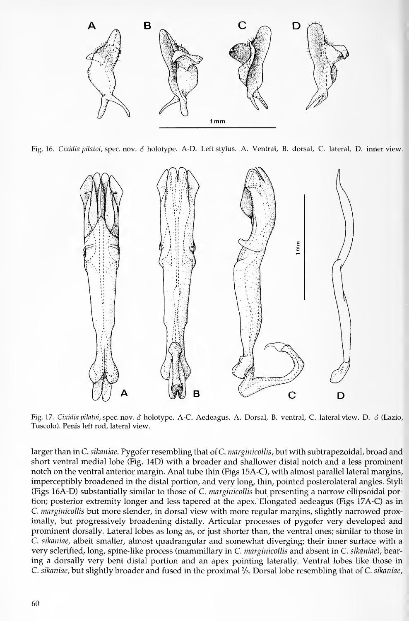

Fig. 16. Cixidia pilatoi, spec. nov. S holotype. A-D. Left Stylus. A. Ventral, B. dorsal, C. lateral, D. inner view.



Fig. 17. Cixidia pilatoi, spec. nov. 6 holotype. A-C. Aedeagus. A. Dorsal, B. ventral, C. lateral view. D. 6 (Lazio, Tuscolo). Penis left rod, lateral view.

larger than in C. sikaniae. Pygofer resembling that of C. marginicollis, but with subtrapezoidal, broad and Short ventral medial lobe (Fig. 14D) with a broader and shallower distal notch and a less prominent notch on the ventral anterior margin. Anal tube thin (Figs 15A-C), with almost parallel lateral margins, imperceptibly broadened in the distal portion, and very long, thin, pointed posterolateral angles. Styli (Figs 16A-D) substantially similar to those of C. *marginicollis* but presenting a narrow ellipsoidal portion; posterior extremity longer and less tapered at the apex. Elongated aedeagus (Figs 17A-C) as in C. marginicollis but more slender, in dorsal view with more regular margins, slightly narrowed proximally, but progressively broadening distally. Articular processes of pygofer very developed and prominent dorsally. Lateral lobes as long as, or just shorter than, the ventral ones; similar to those in C. sikaniae, albeit smaller, almost quadrangular and somewhat diverging; their inner surface with a very sclerified, long, spine-like process (mammillary in C. marginicollis and absent in C. sikaniae), bearing a dorsally very bent distal portion and an apex pointing laterally. Ventral lobes like those in C. sikaniae, but slightly broader and fused in the proximal  $\frac{2}{3}$ . Dorsal lobe resembling that of C. sikaniae,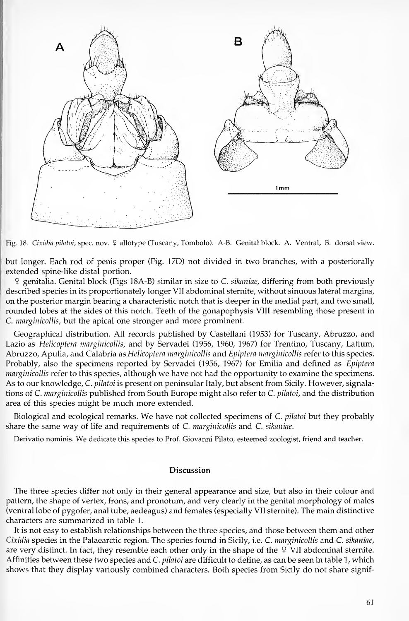

Fig. 18. Cixidia pilatoi, spec.nov. 9 allotype (Tuscany, Tombolo). A-B. Genital block. A. Ventral, B. dorsal view.

but longer. Each rod of penis proper (Fig. 17D) not divided in two branches, with a posteriorally extended spine-like distal portion.

 $9$  genitalia. Genital block (Figs 18A-B) similar in size to C. sikaniae, differing from both previously described species in its proportionately longer VII abdominal sternite, without sinuous lateral margins, on the posterior margin bearing a characteristic notch that is deeper in the medial part, and two small, rounded lobes at the sides of this notch. Teeth of the gonapophysis VIII resembling those present in C. *marginicollis*, but the apical one stronger and more prominent.

Geographical distribution. All records published by Castellani (1953) for Tuscany, Abruzzo, and Lazio as Helicoptera marginicollis, and by Servadei (1956, 1960, 1967) for Trentino, Tuscany, Latium, Abruzzo, Apulia, and Calabria as Helicoptera marginicollis and Epiptera marginicollis refer to this species. Probably, also the specimens reported by Servadei (1956, 1967) for Emilia and defined as Epiptera marginicollis refer to this species, although we have not had the opportunity to examine the specimens. As to our knowledge, C. pilatoi is present on peninsular Italy, but absent from Sicily. However, signalations of C. marginicollis published from South Europe might also refer to C. pilatoi, and the distribution area of this species might be much more extended.

Biological and ecological remarks. We have not collected specimens of C. *pilatoi* but they probably share the same way of life and requirements of C. marginicollis and C. sikaniae.

Derivatio nominis. We dedicate this species to Prof. Giovanni Pilato, esteemed zoologist, friend and teacher.

### **Discussion**

The three species differ not only in their general appearance and size, but also in their colour and pattern, the shape of vertex, frons, and pronotum, and very clearly in the genital morphology of males (ventral lobe of pygofer, anal tube, aedeagus) and females (especially VII sternite). The main distinctive characters are summarized in table 1.

It is not easy to establish relationships between the three species, and those between them and other Cixidia species in the Palaearctic region. The species found in Sicily, i.e. C. *marginicollis* and C. sikaniae, are very distinct. In fact, they resemble each other only in the shape of the  $9$  VII abdominal sternite. Affinities between these two species and C. pilatoi are difficult to define, as can be seen in table 1, which shows that they display variously combined characters. Both species from Sicily do not share signif-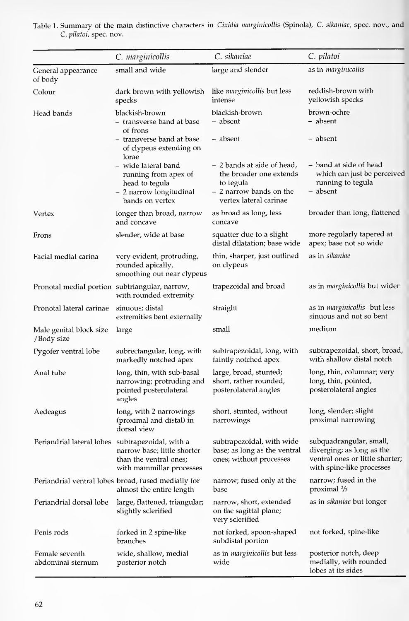|                                                  | C. marginicollis                                                                                            | C. sikaniae                                                                                                             | C. pilatoi                                                                                                           |
|--------------------------------------------------|-------------------------------------------------------------------------------------------------------------|-------------------------------------------------------------------------------------------------------------------------|----------------------------------------------------------------------------------------------------------------------|
| General appearance<br>of body                    | small and wide                                                                                              | large and slender                                                                                                       | as in marginicollis                                                                                                  |
| Colour                                           | dark brown with yellowish<br>specks                                                                         | like marginicollis but less<br>intense                                                                                  | reddish-brown with<br>yellowish specks                                                                               |
| Head bands                                       | blackish-brown<br>– transverse band at base<br>of frons                                                     | blackish-brown<br>– absent                                                                                              | brown-ochre<br>– absent                                                                                              |
|                                                  | - transverse band at base<br>of clypeus extending on<br>lorae                                               | - absent                                                                                                                | - absent                                                                                                             |
|                                                  | – wide lateral band<br>running from apex of<br>head to tegula<br>- 2 narrow longitudinal<br>bands on vertex | - 2 bands at side of head,<br>the broader one extends<br>to tegula<br>- 2 narrow bands on the<br>vertex lateral carinae | - band at side of head<br>which can just be perceived<br>running to tegula<br>– absent                               |
| Vertex                                           | longer than broad, narrow<br>and concave                                                                    | as broad as long, less<br>concave                                                                                       | broader than long, flattened                                                                                         |
| Frons                                            | slender, wide at base                                                                                       | squatter due to a slight<br>distal dilatation; base wide                                                                | more regularly tapered at<br>apex; base not so wide                                                                  |
| Facial medial carina                             | very evident, protruding,<br>rounded apically,<br>smoothing out near clypeus                                | thin, sharper, just outlined<br>on clypeus                                                                              | as in sikaniae                                                                                                       |
| Pronotal medial portion subtriangular, narrow,   | with rounded extremity                                                                                      | trapezoidal and broad                                                                                                   | as in <i>marginicollis</i> but wider                                                                                 |
| Pronotal lateral carinae                         | sinuous; distal<br>extremities bent externally                                                              | straight                                                                                                                | as in <i>marginicollis</i> but less<br>sinuous and not so bent                                                       |
| Male genital block size<br>/Body size            | large                                                                                                       | small                                                                                                                   | medium                                                                                                               |
| Pygofer ventral lobe                             | subrectangular, long, with<br>markedly notched apex                                                         | subtrapezoidal, long, with<br>faintly notched apex                                                                      | subtrapezoidal, short, broad,<br>with shallow distal notch                                                           |
| Anal tube                                        | long, thin, with sub-basal<br>narrowing; protruding and<br>pointed posterolateral<br>angles                 | large, broad, stunted;<br>short, rather rounded,<br>posterolateral angles                                               | long, thin, columnar; very<br>long, thin, pointed,<br>posterolateral angles                                          |
| Aedeagus                                         | long, with 2 narrowings<br>(proximal and distal) in<br>dorsal view                                          | short, stunted, without<br>narrowings                                                                                   | long, slender; slight<br>proximal narrowing                                                                          |
| Periandrial lateral lobes subtrapezoidal, with a | narrow base; little shorter<br>than the ventral ones;<br>with mammillar processes                           | subtrapezoidal, with wide<br>base; as long as the ventral<br>ones; without processes                                    | subquadrangular, small,<br>diverging; as long as the<br>ventral ones or little shorter;<br>with spine-like processes |
|                                                  | Periandrial ventral lobes broad, fused medially for<br>almost the entire length                             | narrow; fused only at the<br>base                                                                                       | narrow; fused in the<br>proximal $\frac{2}{3}$                                                                       |
| Periandrial dorsal lobe                          | large, flattened, triangular;<br>slightly sclerified                                                        | narrow, short, extended<br>on the sagittal plane;<br>very sclerified                                                    | as in <i>sikaniae</i> but longer                                                                                     |
| Penis rods                                       | forked in 2 spine-like<br>branches                                                                          | not forked, spoon-shaped<br>subdistal portion                                                                           | not forked, spine-like                                                                                               |
| Female seventh<br>abdominal sternum              | wide, shallow, medial<br>posterior notch                                                                    | as in marginicollis but less<br>wide                                                                                    | posterior notch, deep<br>medially, with rounded<br>lobes at its sides                                                |

Table 1. Summary of the main distinctive characters in *Cixidia marginicollis* (Spinola), C. sikaniae, spec. nov., and C. püatoi, spec. nov.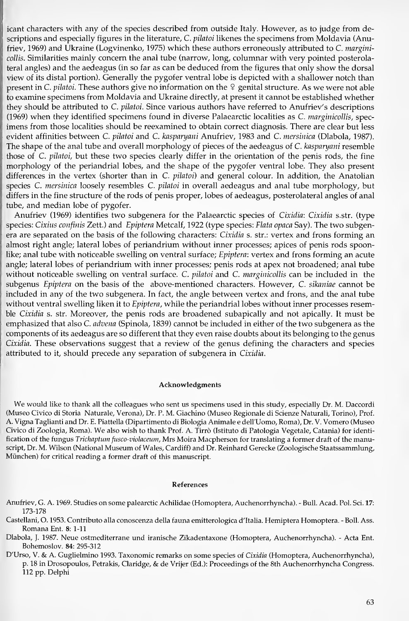icant characters with any of the species described from outside Italy. However, as to judge from descriptions and especially figures in the literature, C. pilatoi likenes the specimens from Moldavia (Anufriev, 1969) and Ukraine (Logvinenko, 1975) which these authors erroneously attributed to C. marginicollis. Similarities mainly concern the anal tube (narrow, long, columnar with very pointed posterolateral angles) and the aedeagus (in so far as can be deduced from the figures that only show the dorsal view of its distal portion). Generally the pygofer ventral lobe is depicted with a shallower notch than present in C. pilatoi. These authors give no information on the  $9$  genital structure. As we were not able to examine specimens from Moldavia and Ukraine directly, at present it cannot be established whether they should be attributed to C. pilatoi. Since various authors have referred to Anufriev's descriptions (1969) when they identified specimens found in diverse Palaearctic localities as C. marginicollis, spec imens from those localities should be reexamined to obtain correct diagnosis. There are clear but less evident affinities between C. pilatoi and C. kasparyani Anufriev, 1983 and C. mersinica (Dlabola, 1987). The shape of the anal tube and overall morphology of pieces of the aedeagus of C. kasparyani resemble those of C. pilatoi, but these two species clearly differ in the orientation of the penis rods, the fine morphology of the periandrial lobes, and the shape of the pygofer ventral lobe. They also present differences in the vertex (shorter than in C. pilatoi) and general colour. In addition, the Anatolian species C. mersinica loosely resembles C. pilatoi in overall aedeagus and anal tube morphology, but differs in the fine structure of the rods of penis proper, lobes of aedeagus, posterolateral angles of anal tube, and median lobe of pygofer.

Anufriev (1969) identifies two subgenera for the Palaearctic species of Cixidia: Cixidia s.str. (type species: Cixius confinis Zett.) and Epiptera Metcalf, 1922 (type species: Flata opaca Say). The two subgenera are separated on the basis of the following characters: Cixidia s. str.: vertex and frons forming an almost right angle; lateral lobes of periandrium without inner processes; apices of penis rods spoonlike; anal tube with noticeable swelling on ventral surface; Epiptera: vertex and frons forming an acute angle; lateral lobes of periandrium with inner processes; penis rods at apex not broadened; anal tube without noticeable swelling on ventral surface. C. pilatoi and  $C$ . marginicollis can be included in the subgenus Epiptera on the basis of the above-mentioned characters. However, C. sikaniae cannot be included in any of the two subgenera. In fact, the angle between vertex and frons, and the anal tube without ventral swelling liken it to *Epiptera*, while the periandrial lobes without inner processes resemble Cixidia s. str. Moreover, the penis rods are broadened subapically and not apically. It must be emphasized that also C. *advena* (Spinola, 1839) cannot be included in either of the two subgenera as the components of its aedeagus are so different that they even raise doubts about its belonging to the genus Cixidia. These observations suggest that a review of the genus defining the characters and species attributed to it, should precede any separation of subgenera in Cixidia.

#### Acknowledgments

We would like to thank all the colleagues who sent us specimens used in this study, especially Dr. M. Daccordi (Museo Civico dl Storia Naturale, Verona), Dr. P. M. Giachino (Museo Regionale di Scienze Naturali, Torino), Prof. A. Vigna Taglianti and Dr. E. Piattella (Dipartimento di Biologia Animale e deH'Uomo, Roma), Dr. V. Vomero (Museo Civico di Zoologia, Roma). We also wish to thank Prof. A. Tirrö (Istituto di Patologia Vegetale, Catania) for identification of the fungus Trichaptum fusco-violaceum, Mrs Moira Macpherson for translating a former draft of the manuscript, Dr. M. Wilson (National Museum of Wales, Cardiff) and Dr. Reinhard Gerecke (Zoologische Staatssammlung, München) for critical reading a former draft of this manuscript.

#### References

- Anufriev, G. A. 1969. Studies on some palearctic Achilidae (Homoptera, Auchenorrhyncha). Bull. Acad. Pol. Sei. 17: 173-178
- Castellani, 0. 1953. Contributo alla conoscenza della fauna emitterologica d'Italia. Hemiptera Homoptera. Boll. Ass. Romana Ent. 8: 1-11
- Dlabola, J. 1987. Neue ostmediterrane und iranische Zikadentaxone (Homoptera, Auchenorrhyncha). Acta Ent. Bohemoslov. 84: 295-312
- D'Urso, V. & A. Guglielmino 1993. Taxonomic remarks on some species of Cixidia (Homoptera, Auchenorrhyncha), p. <sup>18</sup> in Drosopoulos, Petrakis, Claridge, & de Vrijer (Ed.): Proceedings of the 8th Auchenorrhyncha Congress. 112 pp. Delphi